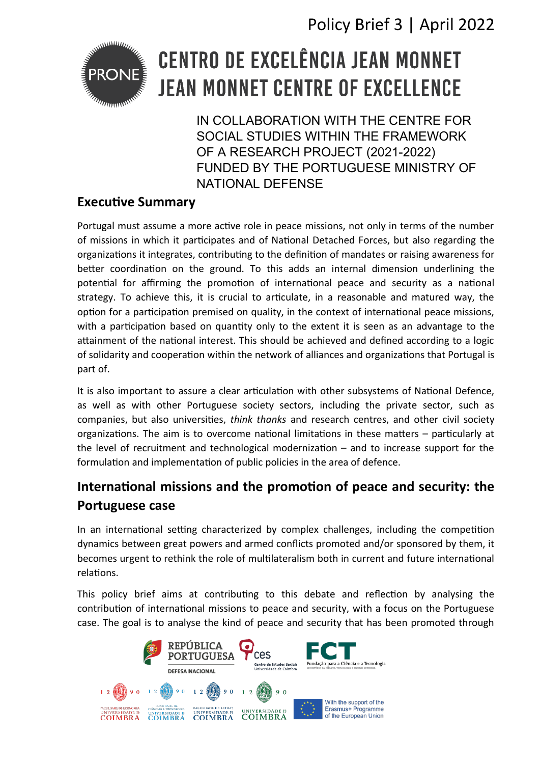Policy Brief 3 | April 2022



# **CENTRO DE EXCELÊNCIA JEAN MONNET JEAN MONNET CENTRE OF EXCELLENCE**

IN COLLABORATION WITH THE CENTRE FOR SOCIAL STUDIES WITHIN THE FRAMEWORK OF A RESEARCH PROJECT (2021-2022) FUNDED BY THE PORTUGUESE MINISTRY OF NATIONAL DEFENSE

#### **Executive Summary**

Portugal must assume a more active role in peace missions, not only in terms of the number of missions in which it participates and of National Detached Forces, but also regarding the organizations it integrates, contributing to the definition of mandates or raising awareness for better coordination on the ground. To this adds an internal dimension underlining the potential for affirming the promotion of international peace and security as a national strategy. To achieve this, it is crucial to articulate, in a reasonable and matured way, the option for a participation premised on quality, in the context of international peace missions, with a participation based on quantity only to the extent it is seen as an advantage to the attainment of the national interest. This should be achieved and defined according to a logic of solidarity and cooperation within the network of alliances and organizations that Portugal is part of.

It is also important to assure a clear articulation with other subsystems of National Defence, as well as with other Portuguese society sectors, including the private sector, such as companies, but also universities, *think thanks* and research centres, and other civil society organizations. The aim is to overcome national limitations in these matters  $-$  particularly at the level of recruitment and technological modernization  $-$  and to increase support for the formulation and implementation of public policies in the area of defence.

### International missions and the promotion of peace and security: the **Portuguese case**

In an international setting characterized by complex challenges, including the competition dynamics between great powers and armed conficts promoted and/or sponsored by them, it becomes urgent to rethink the role of multilateralism both in current and future international relations.

This policy brief aims at contributing to this debate and reflection by analysing the contribution of international missions to peace and security, with a focus on the Portuguese case. The goal is to analyse the kind of peace and security that has been promoted through

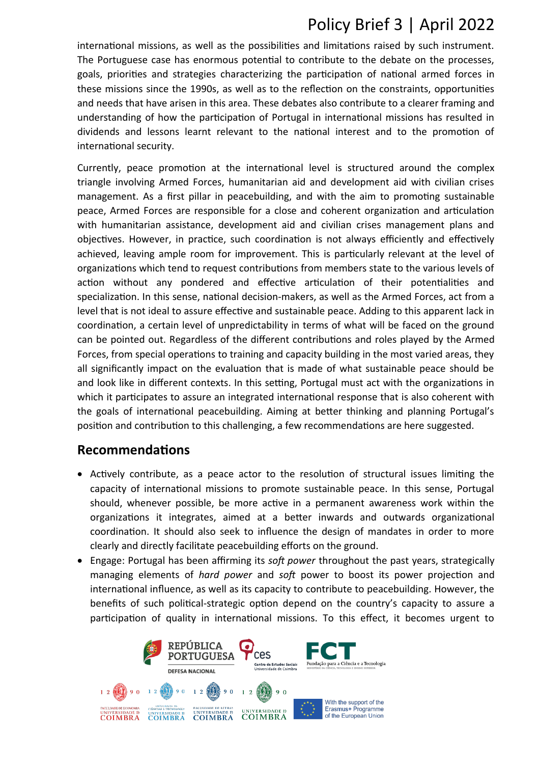## Policy Brief 3 | April 2022

international missions, as well as the possibilities and limitations raised by such instrument. The Portuguese case has enormous potental to contribute to the debate on the processes, goals, priorites and strategies characterizing the partcipaton of natonal armed forces in these missions since the 1990s, as well as to the refecton on the constraints, opportunites and needs that have arisen in this area. These debates also contribute to a clearer framing and understanding of how the participation of Portugal in international missions has resulted in dividends and lessons learnt relevant to the national interest and to the promotion of international security.

Currently, peace promotion at the international level is structured around the complex triangle involving Armed Forces, humanitarian aid and development aid with civilian crises management. As a first pillar in peacebuilding, and with the aim to promoting sustainable peace, Armed Forces are responsible for a close and coherent organizaton and artculaton with humanitarian assistance, development aid and civilian crises management plans and objectives. However, in practice, such coordination is not always efficiently and effectively achieved, leaving ample room for improvement. This is particularly relevant at the level of organizations which tend to request contributions from members state to the various levels of action without any pondered and effective articulation of their potentialities and specialization. In this sense, national decision-makers, as well as the Armed Forces, act from a level that is not ideal to assure effective and sustainable peace. Adding to this apparent lack in coordination, a certain level of unpredictability in terms of what will be faced on the ground can be pointed out. Regardless of the different contributions and roles played by the Armed Forces, from special operations to training and capacity building in the most varied areas, they all significantly impact on the evaluation that is made of what sustainable peace should be and look like in different contexts. In this setting, Portugal must act with the organizations in which it participates to assure an integrated international response that is also coherent with the goals of international peacebuilding. Aiming at better thinking and planning Portugal's position and contribution to this challenging, a few recommendations are here suggested.

#### **Recommendations**

- Actively contribute, as a peace actor to the resolution of structural issues limiting the capacity of international missions to promote sustainable peace. In this sense, Portugal should, whenever possible, be more active in a permanent awareness work within the organizatons it integrates, aimed at a better inwards and outwards organizatonal coordination. It should also seek to influence the design of mandates in order to more clearly and directly facilitate peacebuilding efforts on the ground.
- Engage: Portugal has been affirming its *soft power* throughout the past years, strategically managing elements of *hard power* and *soft* power to boost its power projection and international influence, as well as its capacity to contribute to peacebuilding. However, the benefts of such politcal-strategic opton depend on the country's capacity to assure a participation of quality in international missions. To this effect, it becomes urgent to